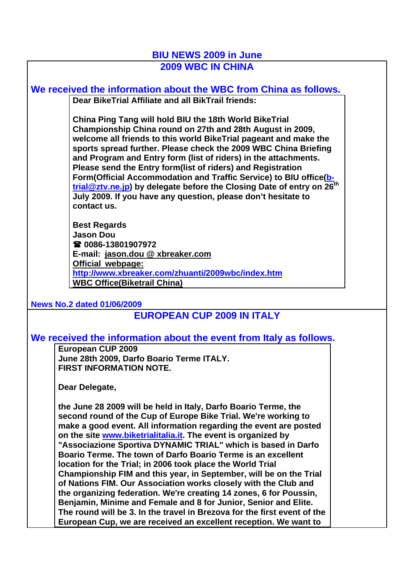## **BIU NEWS 2009 in June 2009 WBC IN CHINA**

**We received the information about the WBC from China as follows. Dear BikeTrial Affiliate and all BikTrail friends:**

> **China Ping Tang will hold BIU the 18th World BikeTrial Championship China round on 27th and 28th August in 2009, welcome all friends to this world BikeTrial pageant and make the sports spread further. Please check the 2009 WBC China Briefing and Program and Entry form (list of riders) in the attachments. Please send the Entry form(list of riders) and Registration Form(Official Accommodation and Traffic Service) to BIU office(btrial@ztv.ne.jp) by delegate before the Closing Date of entry on 26th July 2009. If you have any question, please don't hesitate to contact us.**

**Best Regards Jason Dou 0086-13801907972 E-mail: jason.dou @ xbreaker.com Official webpage: http://www.xbreaker.com/zhuanti/2009wbc/index.htm WBC Office(Biketrail China)**

**News No.2 dated 01/06/2009**

## **EUROPEAN CUP 2009 IN ITALY**

## **We received the information about the event from Italy as follows.**

**European CUP 2009 June 28th 2009, Darfo Boario Terme ITALY. FIRST INFORMATION NOTE.**

**Dear Delegate,** 

**the June 28 2009 will be held in Italy, Darfo Boario Terme, the second round of the Cup of Europe Bike Trial. We're working to make a good event. All information regarding the event are posted on the site www.biketrialitalia.it. The event is organized by "Associazione Sportiva DYNAMIC TRIAL" which is based in Darfo Boario Terme. The town of Darfo Boario Terme is an excellent location for the Trial; in 2006 took place the World Trial Championship FIM and this year, in September, will be on the Trial of Nations FIM. Our Association works closely with the Club and the organizing federation. We're creating 14 zones, 6 for Poussin, Benjamin, Minime and Female and 8 for Junior, Senior and Elite. The round will be 3. In the travel in Brezova for the first event of the European Cup, we are received an excellent reception. We want to**